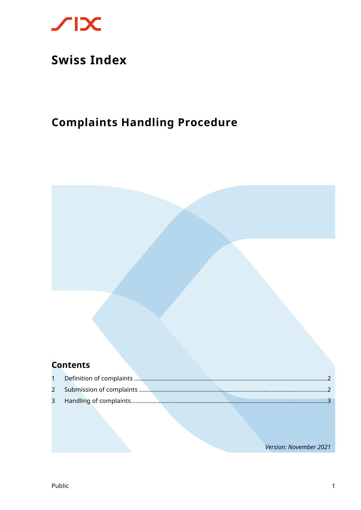

## **Swiss Index**

### **Complaints Handling Procedure**

### **Contents**

Version: November 2021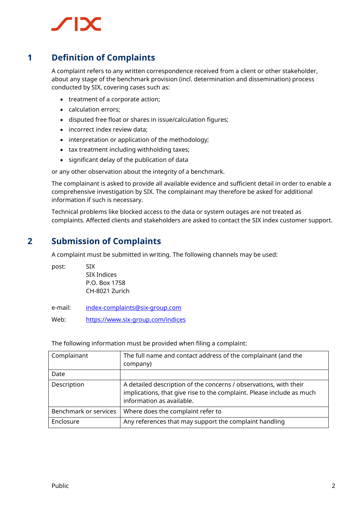## **SEX**

#### **1 Definition of Complaints**

<span id="page-1-0"></span>A complaint refers to any written correspondence received from a client or other stakeholder, about any stage of the benchmark provision (incl. determination and dissemination) process conducted by SIX, covering cases such as:

- treatment of a corporate action;
- calculation errors;
- disputed free float or shares in issue/calculation figures;
- incorrect index review data;
- interpretation or application of the methodology;
- tax treatment including withholding taxes;
- significant delay of the publication of data

or any other observation about the integrity of a benchmark.

The complainant is asked to provide all available evidence and sufficient detail in order to enable a comprehensive investigation by SIX. The complainant may therefore be asked for additional information if such is necessary.

<span id="page-1-1"></span>Technical problems like blocked access to the data or system outages are not treated as complaints. Affected clients and stakeholders are asked to contact the SIX index customer support.

#### **2 Submission of Complaints**

A complaint must be submitted in writing. The following channels may be used:

post: SIX SIX Indices P.O. Box 1758 CH-8021 Zurich

e-mail: [index-complaints@six-group.com](mailto:index-complaints@six-group.com)

Web: <https://www.six-group.com/indices>

The following information must be provided when filing a complaint:

| Complainant           | The full name and contact address of the complainant (and the<br>company)                                                                                               |
|-----------------------|-------------------------------------------------------------------------------------------------------------------------------------------------------------------------|
| Date                  |                                                                                                                                                                         |
| Description           | A detailed description of the concerns / observations, with their<br>implications, that give rise to the complaint. Please include as much<br>information as available. |
| Benchmark or services | Where does the complaint refer to                                                                                                                                       |
| Enclosure             | Any references that may support the complaint handling                                                                                                                  |